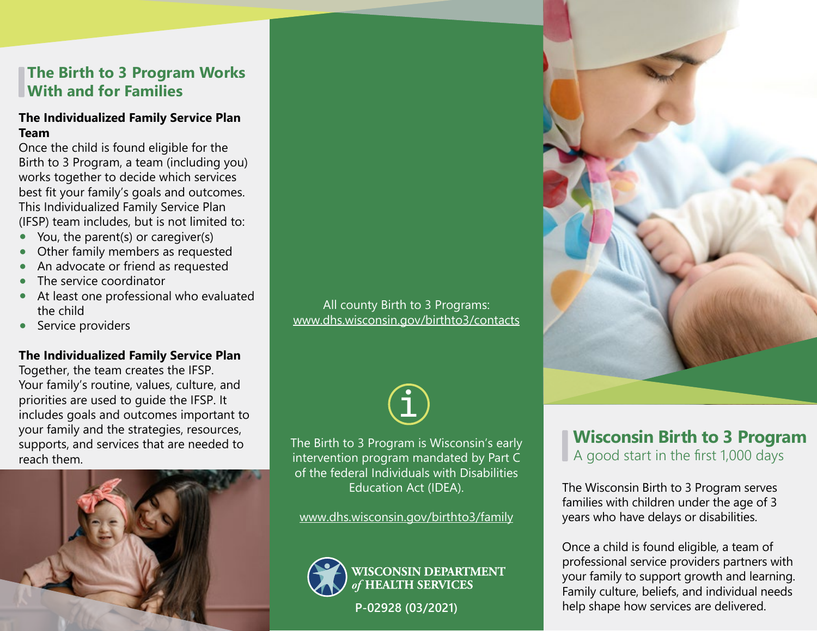# **The Birth to 3 Program Works With and for Families**

### **The Individualized Family Service Plan Team**

Once the child is found eligible for the Birth to 3 Program, a team (including you) works together to decide which services best fit your family's goals and outcomes. This Individualized Family Service Plan (IFSP) team includes, but is not limited to:

- You, the parent(s) or caregiver(s)
- Other family members as requested
- An advocate or friend as requested
- The service coordinator
- At least one professional who evaluated the child
- Service providers

### **The Individualized Family Service Plan**

Together, the team creates the IFSP. Your family's routine, values, culture, and priorities are used to guide the IFSP. It includes goals and outcomes important to your family and the strategies, resources, supports, and services that are needed to reach them.



All county Birth to 3 Programs: www.dhs.wisconsin.gov/birthto3/contacts



The Birth to 3 Program is Wisconsin's early intervention program mandated by Part C of the federal Individuals with Disabilities Education Act (IDEA).

www.dhs.wisconsin.gov/birthto3/family



**WISCONSIN DEPARTMENT HEALTH SERVICES** 

**P-02928 (03/2021)**



# **Wisconsin Birth to 3 Program** A good start in the first 1,000 days

The Wisconsin Birth to 3 Program serves families with children under the age of 3 years who have delays or disabilities.

Once a child is found eligible, a team of professional service providers partners with your family to support growth and learning. Family culture, beliefs, and individual needs help shape how services are delivered.